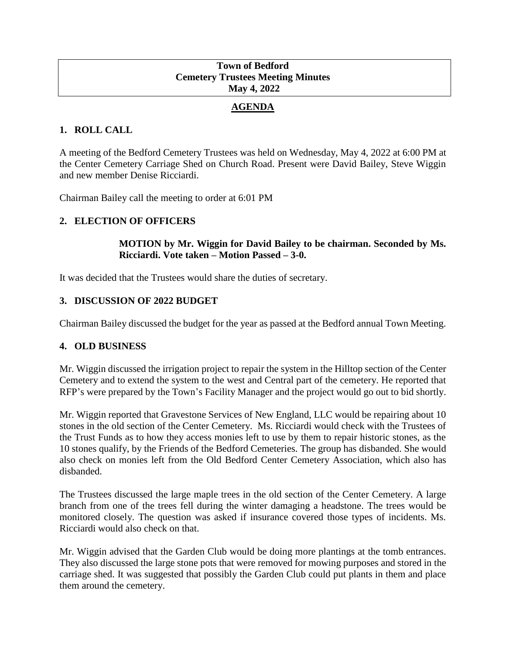### **Town of Bedford Cemetery Trustees Meeting Minutes May 4, 2022**

# **AGENDA**

# **1. ROLL CALL**

A meeting of the Bedford Cemetery Trustees was held on Wednesday, May 4, 2022 at 6:00 PM at the Center Cemetery Carriage Shed on Church Road. Present were David Bailey, Steve Wiggin and new member Denise Ricciardi.

Chairman Bailey call the meeting to order at 6:01 PM

# **2. ELECTION OF OFFICERS**

### **MOTION by Mr. Wiggin for David Bailey to be chairman. Seconded by Ms. Ricciardi. Vote taken – Motion Passed – 3-0.**

It was decided that the Trustees would share the duties of secretary.

# **3. DISCUSSION OF 2022 BUDGET**

Chairman Bailey discussed the budget for the year as passed at the Bedford annual Town Meeting.

# **4. OLD BUSINESS**

Mr. Wiggin discussed the irrigation project to repair the system in the Hilltop section of the Center Cemetery and to extend the system to the west and Central part of the cemetery. He reported that RFP's were prepared by the Town's Facility Manager and the project would go out to bid shortly.

Mr. Wiggin reported that Gravestone Services of New England, LLC would be repairing about 10 stones in the old section of the Center Cemetery. Ms. Ricciardi would check with the Trustees of the Trust Funds as to how they access monies left to use by them to repair historic stones, as the 10 stones qualify, by the Friends of the Bedford Cemeteries. The group has disbanded. She would also check on monies left from the Old Bedford Center Cemetery Association, which also has disbanded.

The Trustees discussed the large maple trees in the old section of the Center Cemetery. A large branch from one of the trees fell during the winter damaging a headstone. The trees would be monitored closely. The question was asked if insurance covered those types of incidents. Ms. Ricciardi would also check on that.

Mr. Wiggin advised that the Garden Club would be doing more plantings at the tomb entrances. They also discussed the large stone pots that were removed for mowing purposes and stored in the carriage shed. It was suggested that possibly the Garden Club could put plants in them and place them around the cemetery.